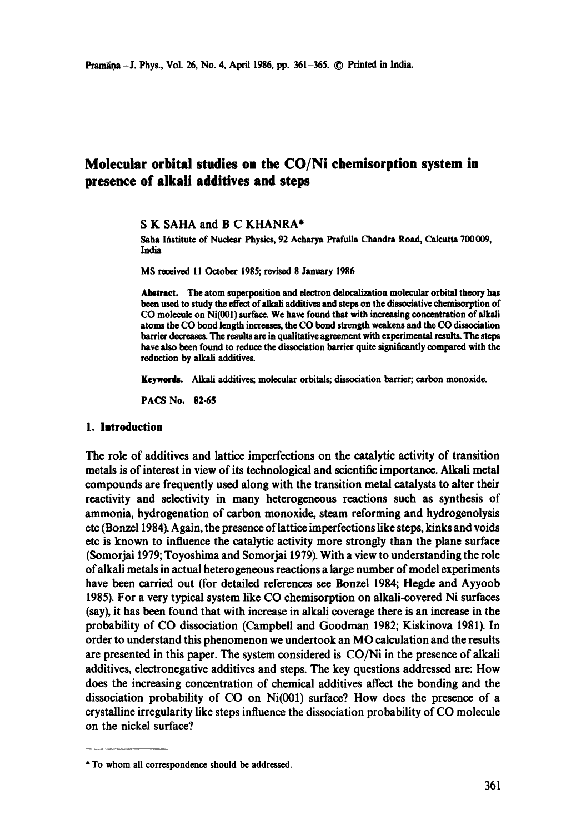# **Molecular orbital studies on the CO/Ni chemisorption system in presence of alkali additives and steps**

**S K** SAHA and **B C** KHANRA\*

Saha Institute of Nuclear Physics, 92 Acharya Prafulla Chandra Road, Calcutta 700 009, India

MS received 11 October 1985; revised 8 January 1986

Abstract. The atom superposition and electron delocalization molecular orbital theory has been used to study the effect of alkali additives and steps on the dissociative chemisorption of CO molecule on Ni(001) surface. We have found that with increasing concentration of alkali atoms the CO bond length increases, the CO bond strength weakens and the CO dissociation barrier decreases. The results are in qualitative agreement with experimental results. The steps have also been found to reduce the dissociation barrier quite significantly compared with the reduction by alkali additives.

**Keywords.** Alkali additives; molecular orbitals; dissociation barrier;, carbon monoxide.

PACS No. 82.65

#### **1. Introduction**

The role of additives and lattice imperfections on the catalytic activity of transition metals is of interest in view of its technological and scientific importance. Alkali metal compounds are frequently used along with the transition metal catalysts to alter their reactivity and selectivity in many heterogeneous reactions such as synthesis of ammonia, hydrogenation of carbon monoxide, steam reforming and hydrogenolysis etc (Bonze11984). Again, the presence of lattice imperfections like steps, kinks and voids etc is known to influence the catalytic activity more strongly than the plane surface (Somorjai 1979; Toyoshima and Somorjai 1979). With a view to understanding the role of alkali metals in actual heterogeneous reactions a large number of model experiments have been carried out (for detailed references see Bonzel 1984; Hegde and Ayyoob 1985). For a very typical system like CO chemisorption on alkali-covered Ni surfaces (say), it has been found that with increase in alkali coverage there is an increase in the probability of CO dissociation (Campbell and Goodman 1982; Kiskinova 1981). In order to understand this phenomenon we undertook an MO calculation and the results are presented in this paper. The system considered is CO/Ni in the presence of alkali additives, electronegative additives and steps. The key questions addressed are: How does the increasing concentration of chemical additives affect the bonding and the dissociation probability of CO on Ni(001) surface? How does the presence of a crystalline irregularity like steps influence the dissociation probability of CO molecule on the nickel surface?

<sup>\*</sup> To whom all correspondence should be addressed.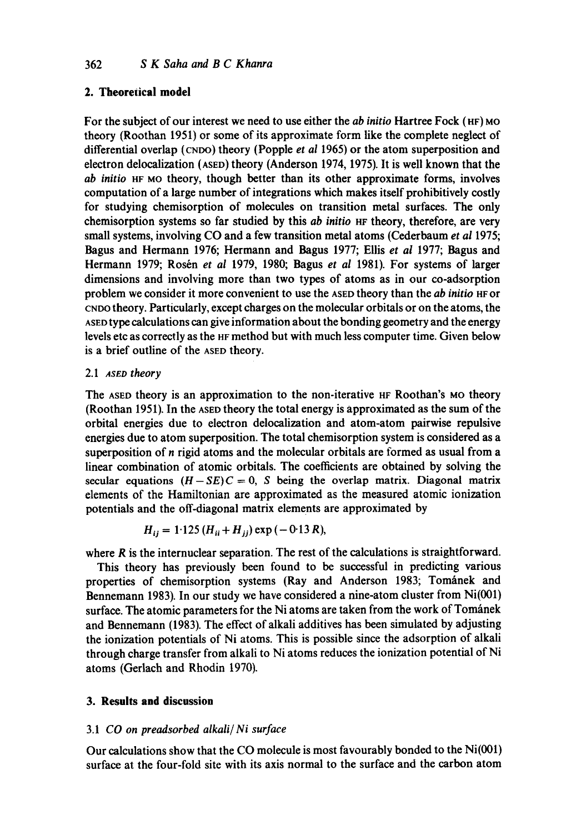# **2. Theoretical model**

For the subject of our interest we need to use either the *ab initio* Hartree Fock (HF) MO theory (Roothan 1951) or some of its approximate form like the complete neglect of differential overlap (CNDO) theory (Popple *et al* 1965) or the atom superposition and electron delocalization (ASED) theory (Anderson 1974, 1975). It is well known that the *ab initio* HF uo theory, though better than its other approximate forms, involves computation of a large number of integrations which makes itself prohibitively costly for studying chemisorption of molecules on transition metal surfaces. The only chemisorption systems so far studied by this *ab initio* HF theory, therefore, are very small systems, involving CO and a few transition metal atoms (Cederbaum *et al* 1975; Bagus and Hermann 1976; Hermann and Bagus 1977; Ellis *et al* 1977; Bagus and Hermann 1979; Rosén et al 1979, 1980; Bagus et al 1981). For systems of larger dimensions and involving more than two types of atoms as in our co-adsorption problem we consider it more convenient to use the ASED theory than the *ab initio* HF or CNDO theory. Particularly, except charges on the molecular orbitals or on the atoms, the ASED type calculations can give information about the bonding geometry and the energy levels etc as correctly as the HE method but with much less computer time. Given below is a brief outline of the ASED theory.

### 2.1 *ASEO theory*

The ASED theory is an approximation to the non-iterative HF Roothan's MO theory (Roothan 1951). In the ASED theory the total energy is approximated as the sum of the orbital energies due to electron delocalization and atom-atom pairwise repulsive energies due to atom superposition. The total chemisorption system is considered as a superposition of n rigid atoms and the molecular orbitals are formed as usual from a linear combination of atomic orbitals. The coefficients are obtained by solving the secular equations  $(H-SE)C = 0$ , S being the overlap matrix. Diagonal matrix elements of the Hamiltonian are approximated as the measured atomic ionization potentials and the off-diagonal matrix elements are approximated by

$$
H_{ij} = 1.125 (H_{ii} + H_{jj}) \exp(-0.13 R),
$$

where  *is the internuclear separation. The rest of the calculations is straightforward.* 

This theory has previously been found to be successful in predicting various properties of chemisorption systems (Ray and Anderson 1983; Tománek and Bennemann 1983). In our study we have considered a nine-atom cluster from Ni(001) surface. The atomic parameters for the Ni atoms are taken from the work of Tománek and Bennemann (1983). The effect of alkali additives has been simulated by adjusting the ionization potentials of Ni atoms. This is possible since the adsorption of alkali through charge transfer from alkali to Ni atoms reduces the ionization potential of Ni atoms (Gerlach and Rhodin 1970).

# **3. Results and discussion**

### 3.1 *CO on preadsorbed aikali/ Ni surface*

Our calculations show that the CO molecule is most favourably bonded to the Ni(001) surface at the four-fold site with its axis normal to the surface and the carbon atom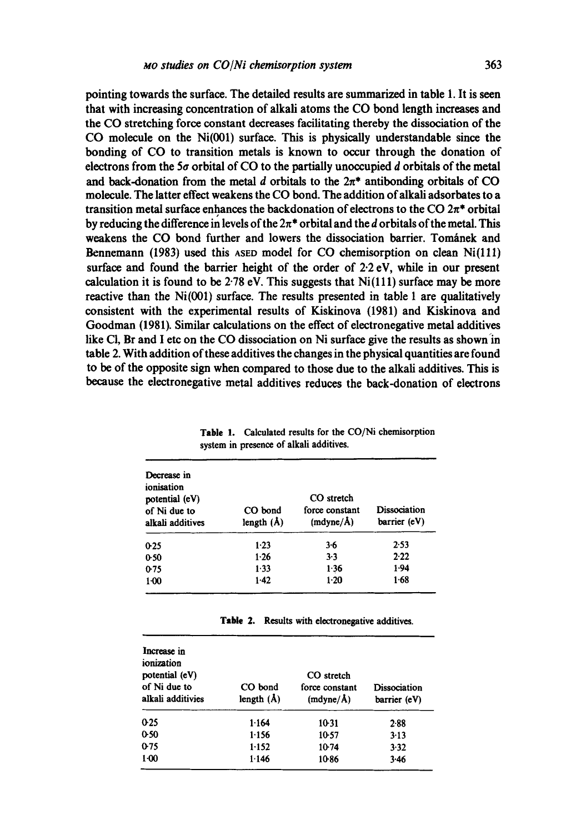**pointing towards the surface. The detailed results are summarized in table 1. It is seen that with increasing concentration of alkali atoms the CO bond length increases and the CO stretching force constant decreases facilitating thereby the dissociation of the CO molecule on the Ni(001) surface. This is physically understandable since the bonding of CO to transition metals is known to occur through the donation of**  electrons from the 5 $\sigma$  orbital of CO to the partially unoccupied  $d$  orbitals of the metal and back-donation from the metal d orbitals to the  $2\pi^*$  antibonding orbitals of CO **molecule. The latter effect weakens the CO bond. The addition of alkali adsorbates to a**  transition metal surface enhances the backdonation of electrons to the  $CO 2\pi^*$  orbital by reducing the difference in levels of the  $2\pi^*$  orbital and the d orbitals of the metal. This weakens the CO bond further and lowers the dissociation barrier. Tomanek and **Bennemann (1983) used this ASED model for CO chemisorption on clean Ni(111) surface and found the barrier height of the order of 2.2 eV, while in our present calculation it is found to be 2.78 eV. This suggests that Ni(111) surface may be more reactive than the Ni(001) surface. The results presented in table 1 are qualitatively consistent with the experimental results of Kiskinova (1981) and Kiskinova and Goodman (1981). Similar calculations on the effect of electronegative metal additives**  like Cl, Br and I etc on the CO dissociation on Ni surface give the results as shown in **table 2. With addition of these additives the changes in the physical quantities are found to be of the opposite sign when compared to those due to the alkali additives. This is because the electronegative metal additives reduces the back-donation of electrons** 

| Decrease in<br>ionisation<br>potential (eV)<br>of Ni due to<br>alkali additives | CO bond<br>length $(A)$ | CO stretch<br>force constant<br>(mdyne/A) | <b>Dissociation</b><br>barrier (eV) |
|---------------------------------------------------------------------------------|-------------------------|-------------------------------------------|-------------------------------------|
| 0.25                                                                            | 1.23                    | $3 - 6$                                   | 2.53                                |
| 0.50                                                                            | 1.26                    | 3.3                                       | 2.22                                |
| 0.75                                                                            | $1-33$                  | 1.36                                      | 1.94                                |
| $1-00$                                                                          | 1.42                    | $1-20$                                    | 1.68                                |

**Table 1. Calculated results for the CO/Ni chemisorption system in presence of alkali additives.** 

| Table 2. Results with electronegative additives. |  |  |
|--------------------------------------------------|--|--|
|--------------------------------------------------|--|--|

| Increase in<br>ionization<br>potential (eV)<br>of Ni due to<br>alkali additivies | CO bond<br>length $(A)$ | CO stretch<br>force constant<br>(mdyne/A) | Dissociation<br>barrier (eV) |
|----------------------------------------------------------------------------------|-------------------------|-------------------------------------------|------------------------------|
| 0.25                                                                             | 1.164                   | 10.31                                     | 2.88                         |
| 0.50                                                                             | 1.156                   | 10-57                                     | $3-13$                       |
| 0.75                                                                             | 1.152                   | 10.74                                     | 3.32                         |
| $1-00$                                                                           | 1.146                   | 10.86                                     | 3.46                         |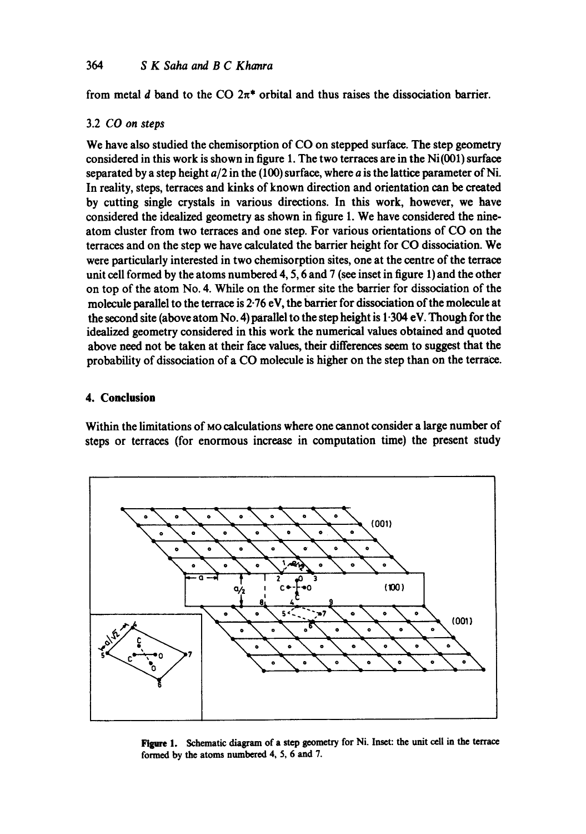from metal d band to the CO  $2\pi^*$  orbital and thus raises the dissociation barrier.

### 3.2 *CO on steps*

We have also studied the chemisorption of CO on stepped surface. The step geometry considered in this work is shown in figure 1. The two terraces are in the  $Ni(001)$  surface separated by a step height *a/2* in the (100) surface, where a is the lattice parameter of Ni. In reality, steps, terraces and kinks of known direction and orientation can be created by cutting single crystals in various directions. In this work, however, we have considered the idealized geometry as shown in figure 1. We have considered the nineatom duster from two terraces and one step. For various orientations of CO on the terraces and on the step we have calculated the barrier height for CO dissociation. We were particularly interested in two chemisorption sites, one at the centre of the terrace unit cell formed by the atoms numbered 4, 5, 6 and 7 (see inset in figure 1) and the other on top of the atom No. 4. While on the former site the barrier for dissociation of the molecule parallel to the terrace is 2.76 eV, the barrier for dissociation of the molecule at the second site (above atom No. 4) parallel to the step height is 1.304 eV. Though for the idealized geometry considered in this work the numerical values obtained and quoted above need not be taken at their face values, their differences seem to suggest that the probability of dissociation of a CO molecule is higher on the step than on the terrace.

# **4. Conclusion**

Within the limitations of Mo calculations where one cannot consider a large number of steps or terraces (for enormous increase in computation time) the present study



Figure 1. Schematic diagram of a step geometry for Ni. Inset: the unit cell in the terrace formed by the atoms numbered 4, 5, 6 and 7.